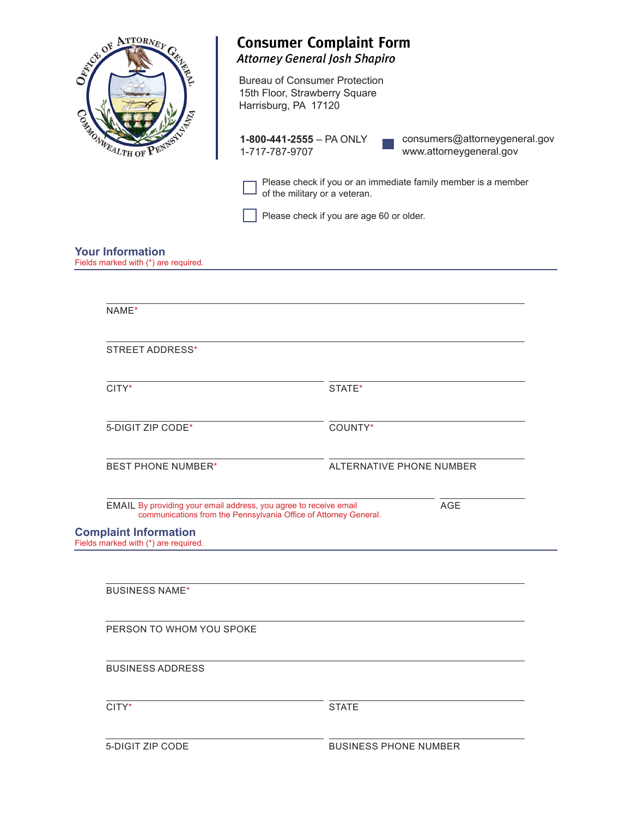| SEA PRITORNEY                                                        | <b>Attorney General Josh Shapiro</b>                                                          | <b>Consumer Complaint Form</b>                                |
|----------------------------------------------------------------------|-----------------------------------------------------------------------------------------------|---------------------------------------------------------------|
|                                                                      | <b>Bureau of Consumer Protection</b><br>15th Floor, Strawberry Square<br>Harrisburg, PA 17120 |                                                               |
| CANARY MEALTH OF P                                                   | 1-800-441-2555 - PA ONLY<br>1-717-787-9707                                                    | consumers@attorneygeneral.gov<br>www.attorneygeneral.gov      |
|                                                                      | of the military or a veteran.                                                                 | Please check if you or an immediate family member is a member |
|                                                                      |                                                                                               | Please check if you are age 60 or older.                      |
| <b>Your Information</b><br>Fields marked with (*) are required.      |                                                                                               |                                                               |
| NAME*                                                                |                                                                                               |                                                               |
| <b>STREET ADDRESS*</b>                                               |                                                                                               |                                                               |
| CITY*                                                                |                                                                                               | STATE*                                                        |
| 5-DIGIT ZIP CODE*                                                    |                                                                                               | COUNTY*                                                       |
| <b>BEST PHONE NUMBER*</b>                                            |                                                                                               | ALTERNATIVE PHONE NUMBER                                      |
| EMAIL By providing your email address, you agree to receive email    | communications from the Pennsylvania Office of Attorney General.                              | <b>AGE</b>                                                    |
| <b>Complaint Information</b><br>Fields marked with (*) are required. |                                                                                               |                                                               |
| <b>BUSINESS NAME*</b>                                                |                                                                                               |                                                               |
| PERSON TO WHOM YOU SPOKE                                             |                                                                                               |                                                               |
| <b>BUSINESS ADDRESS</b>                                              |                                                                                               |                                                               |
| CITY*                                                                |                                                                                               | <b>STATE</b>                                                  |
| 5-DIGIT ZIP CODE                                                     |                                                                                               | <b>BUSINESS PHONE NUMBER</b>                                  |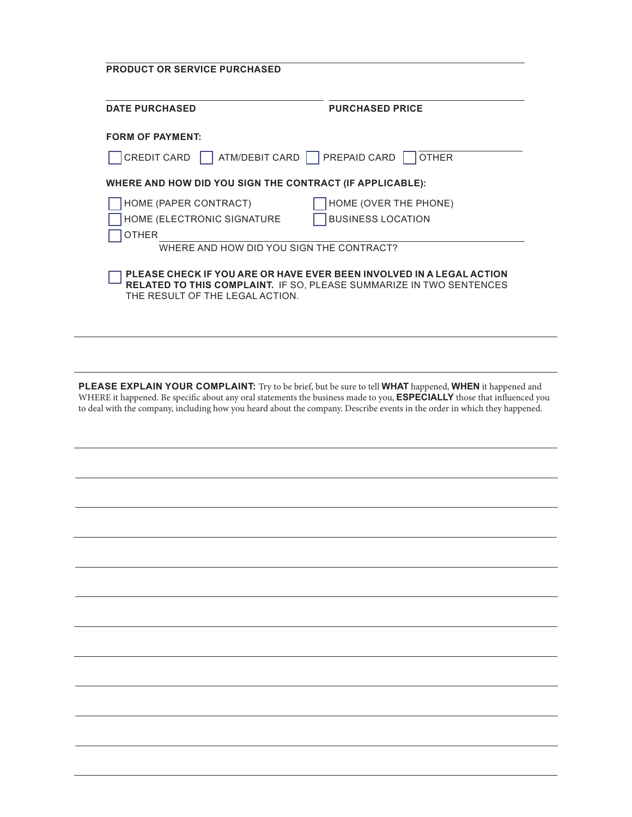| <b>PRODUCT OR SERVICE PURCHASED</b><br><b>DATE PURCHASED</b>                                                                                                                          | <b>PURCHASED PRICE</b>   |
|---------------------------------------------------------------------------------------------------------------------------------------------------------------------------------------|--------------------------|
| <b>FORM OF PAYMENT:</b>                                                                                                                                                               |                          |
| ATM/DEBIT CARD   PREPAID CARD<br>CREDIT CARD                                                                                                                                          | <b>OTHER</b>             |
| WHERE AND HOW DID YOU SIGN THE CONTRACT (IF APPLICABLE):                                                                                                                              |                          |
| HOME (PAPER CONTRACT)                                                                                                                                                                 | HOME (OVER THE PHONE)    |
| HOME (ELECTRONIC SIGNATURE<br><b>OTHER</b>                                                                                                                                            | <b>BUSINESS LOCATION</b> |
| WHERE AND HOW DID YOU SIGN THE CONTRACT?                                                                                                                                              |                          |
| PLEASE CHECK IF YOU ARE OR HAVE EVER BEEN INVOLVED IN A LEGAL ACTION<br><b>RELATED TO THIS COMPLAINT. IF SO, PLEASE SUMMARIZE IN TWO SENTENCES</b><br>THE RESULT OF THE LEGAL ACTION. |                          |

**PLEASE EXPLAIN YOUR COMPLAINT:** Try to be brief, but be sure to tell **WHAT** happened, **WHEN** it happened and WHERE it happened. Be specific about any oral statements the business made to you, **ESPECIALLY** those that influenced you to deal with the company, including how you heard about the company. Describe events in the order in which they happened.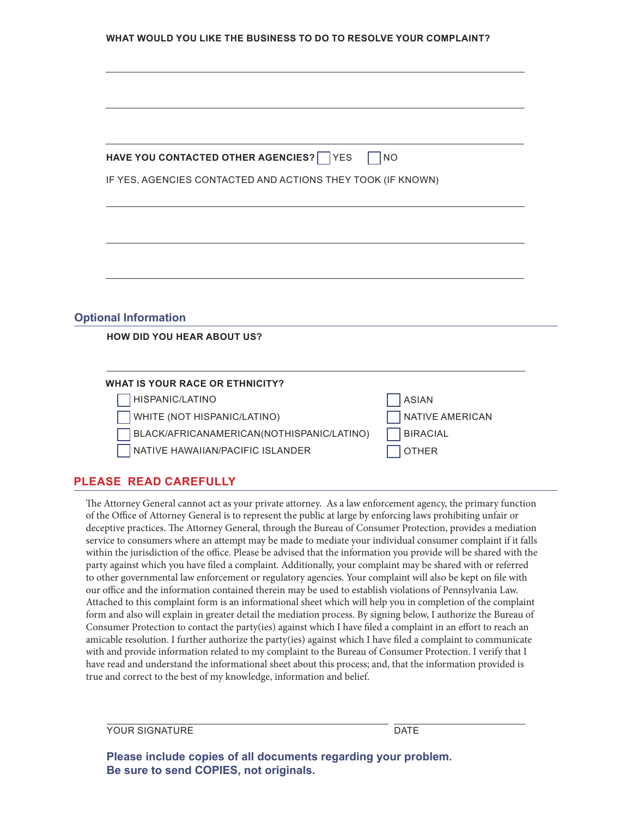| WHAT WOULD YOU LIKE THE BUSINESS TO DO TO RESOLVE YOUR COMPLAINT? |
|-------------------------------------------------------------------|
|-------------------------------------------------------------------|

| HAVE YOU CONTACTED OTHER AGENCIES? VES                           | <b>NO</b>                              |
|------------------------------------------------------------------|----------------------------------------|
| IF YES, AGENCIES CONTACTED AND ACTIONS THEY TOOK (IF KNOWN)      |                                        |
|                                                                  |                                        |
|                                                                  |                                        |
|                                                                  |                                        |
|                                                                  |                                        |
|                                                                  |                                        |
|                                                                  |                                        |
|                                                                  |                                        |
|                                                                  |                                        |
| <b>Optional Information</b><br><b>HOW DID YOU HEAR ABOUT US?</b> |                                        |
|                                                                  |                                        |
|                                                                  |                                        |
| <b>WHAT IS YOUR RACE OR ETHNICITY?</b>                           |                                        |
| HISPANIC/LATINO<br>WHITE (NOT HISPANIC/LATINO)                   | <b>ASIAN</b><br><b>NATIVE AMERICAN</b> |

## **PLEASE READ CAREFULLY**

The Attorney General cannot act as your private attorney. As a law enforcement agency, the primary function of the Office of Attorney General is to represent the public at large by enforcing laws prohibiting unfair or deceptive practices. The Attorney General, through the Bureau of Consumer Protection, provides a mediation service to consumers where an attempt may be made to mediate your individual consumer complaint if it falls within the jurisdiction of the office. Please be advised that the information you provide will be shared with the party against which you have filed a complaint. Additionally, your complaint may be shared with or referred to other governmental law enforcement or regulatory agencies. Your complaint will also be kept on file with our office and the information contained therein may be used to establish violations of Pennsylvania Law. Attached to this complaint form is an informational sheet which will help you in completion of the complaint form and also will explain in greater detail the mediation process. By signing below, I authorize the Bureau of Consumer Protection to contact the party(ies) against which I have filed a complaint in an effort to reach an amicable resolution. I further authorize the party(ies) against which I have filed a complaint to communicate with and provide information related to my complaint to the Bureau of Consumer Protection. I verify that I have read and understand the informational sheet about this process; and, that the information provided is true and correct to the best of my knowledge, information and belief.

YOUR SIGNATURE **DATE** 

**Please include copies of all documents regarding your problem. Be sure to send COPIES, not originals.**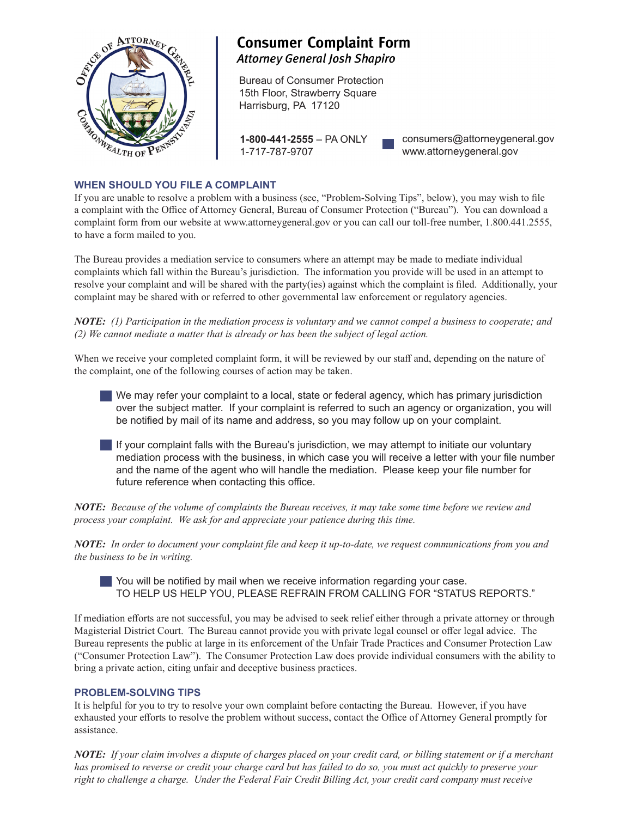

# **Consumer Complaint Form Attorney General Josh Shapiro**

Bureau of Consumer Protection 15th Floor, Strawberry Square Harrisburg, PA 17120

**1-800-441-2555** – PA ONLY 1-717-787-9707

consumers@attorneygeneral.gov www.attorneygeneral.gov

## **WHEN SHOULD YOU FILE A COMPLAINT**

If you are unable to resolve a problem with a business (see, "Problem-Solving Tips", below), you may wish to file a complaint with the Office of Attorney General, Bureau of Consumer Protection ("Bureau"). You can download a complaint form from our website at www.attorneygeneral.gov or you can call our toll-free number, 1.800.441.2555, to have a form mailed to you.

The Bureau provides a mediation service to consumers where an attempt may be made to mediate individual complaints which fall within the Bureau's jurisdiction. The information you provide will be used in an attempt to resolve your complaint and will be shared with the party(ies) against which the complaint is filed. Additionally, your complaint may be shared with or referred to other governmental law enforcement or regulatory agencies.

*NOTE: (1) Participation in the mediation process is voluntary and we cannot compel a business to cooperate; and (2) We cannot mediate a matter that is already or has been the subject of legal action.*

When we receive your completed complaint form, it will be reviewed by our staff and, depending on the nature of the complaint, one of the following courses of action may be taken.

We may refer your complaint to a local, state or federal agency, which has primary jurisdiction over the subject matter. If your complaint is referred to such an agency or organization, you will be notified by mail of its name and address, so you may follow up on your complaint.

If your complaint falls with the Bureau's jurisdiction, we may attempt to initiate our voluntary mediation process with the business, in which case you will receive a letter with your file number and the name of the agent who will handle the mediation. Please keep your file number for future reference when contacting this office.

*NOTE: Because of the volume of complaints the Bureau receives, it may take some time before we review and process your complaint. We ask for and appreciate your patience during this time.*

*NOTE: In order to document your complaint file and keep it up-to-date, we request communications from you and the business to be in writing.*

You will be notified by mail when we receive information regarding your case. TO HELP US HELP YOU, PLEASE REFRAIN FROM CALLING FOR "STATUS REPORTS."

If mediation efforts are not successful, you may be advised to seek relief either through a private attorney or through Magisterial District Court. The Bureau cannot provide you with private legal counsel or offer legal advice. The Bureau represents the public at large in its enforcement of the Unfair Trade Practices and Consumer Protection Law ("Consumer Protection Law"). The Consumer Protection Law does provide individual consumers with the ability to bring a private action, citing unfair and deceptive business practices.

### **PROBLEM-SOLVING TIPS**

It is helpful for you to try to resolve your own complaint before contacting the Bureau. However, if you have exhausted your efforts to resolve the problem without success, contact the Office of Attorney General promptly for assistance.

*NOTE: If your claim involves a dispute of charges placed on your credit card, or billing statement or if a merchant has promised to reverse or credit your charge card but has failed to do so, you must act quickly to preserve your right to challenge a charge. Under the Federal Fair Credit Billing Act, your credit card company must receive*